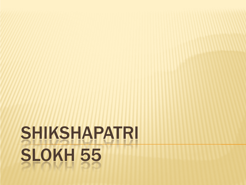# SHIKSHAPATRI SLOKH 55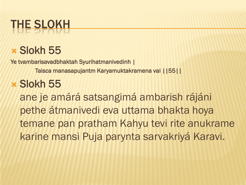# THE SLOKH

#### Slokh 55

Ye tvambarisavadbhaktah Syurihatmanivedinh |

Taisca manasapujantm Karyamuktakramena vai ||55||

#### Slokh 55

ane je amárá satsangimá ambarish rájáni pethe átmanivedi eva uttama bhakta hoya temane pan pratham Kahyu tevi rite anukrame karine mansi Puja parynta sarvakriyá Karavi.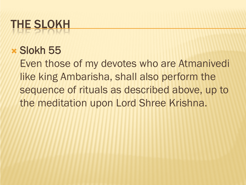# THE SLOKH

#### Slokh 55

Even those of my devotes who are Atmanivedi like king Ambarisha, shall also perform the sequence of rituals as described above, up to the meditation upon Lord Shree Krishna.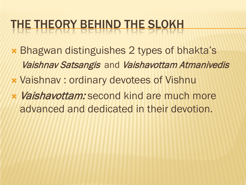### THE THEORY BEHIND THE SLOKH

- Bhagwan distinguishes 2 types of bhakta's Vaishnav Satsangis and Vaishavottam Atmanivedis
- Vaishnav : ordinary devotees of Vishnu
- Vaishavottam: second kind are much more advanced and dedicated in their devotion.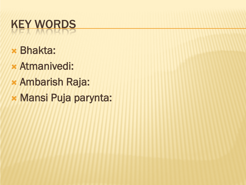# KEY WORDS

- Bhakta:
- Atmanivedi:
- Ambarish Raja:
- Mansi Puja parynta: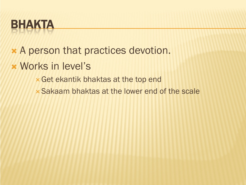### BHAKTA

- A person that practices devotion.
- Works in level's
	- Get ekantik bhaktas at the top end
	- Sakaam bhaktas at the lower end of the scale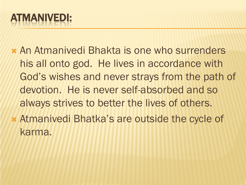#### ATMANIVEDI:

- An Atmanivedi Bhakta is one who surrenders his all onto god. He lives in accordance with God's wishes and never strays from the path of devotion. He is never self-absorbed and so always strives to better the lives of others.
- Atmanivedi Bhatka's are outside the cycle of karma.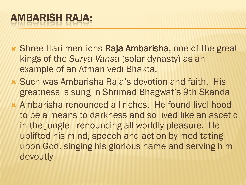- Shree Hari mentions Raja Ambarisha, one of the great kings of the *Surya Vansa* (solar dynasty) as an example of an Atmanivedi Bhakta.
- Such was Ambarisha Raja's devotion and faith. His greatness is sung in Shrimad Bhagwat's 9th Skanda
- Ambarisha renounced all riches. He found livelihood to be a means to darkness and so lived like an ascetic in the jungle - renouncing all worldly pleasure. He uplifted his mind, speech and action by meditating upon God, singing his glorious name and serving him devoutly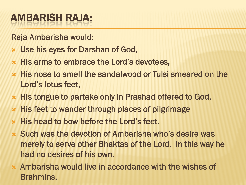#### AMBARISH RAJA:

Raja Ambarisha would:

- Use his eyes for Darshan of God,
- **\* His arms to embrace the Lord's devotees.**
- His nose to smell the sandalwood or Tulsi smeared on the Lord's lotus feet,
- His tongue to partake only in Prashad offered to God,
- **\* His feet to wander through places of pilgrimage**
- His head to bow before the Lord's feet.
- Such was the devotion of Ambarisha who's desire was merely to serve other Bhaktas of the Lord. In this way he had no desires of his own.
- Ambarisha would live in accordance with the wishes of Brahmins,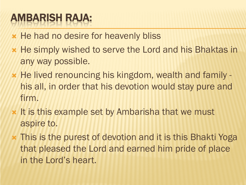#### AMBARISH RAJA:

- **\* He had no desire for heavenly bliss**
- **\* He simply wished to serve the Lord and his Bhaktas in** any way possible.
- \* He lived renouncing his kingdom, wealth and family his all, in order that his devotion would stay pure and firm.
- **\* It is this example set by Ambarisha that we must** aspire to.
- This is the purest of devotion and it is this Bhakti Yoga that pleased the Lord and earned him pride of place in the Lord's heart.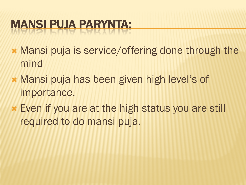## MANSI PUJA PARYNTA:

- Mansi puja is service/offering done through the mind
- Mansi puja has been given high level's of importance.
- Even if you are at the high status you are still required to do mansi puja.